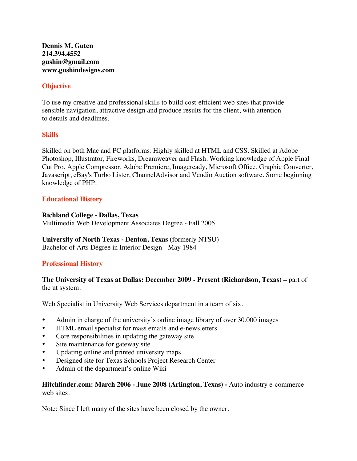**Dennis M. Guten 214.394.4552 gushin@gmail.com www.gushindesigns.com**

# **Objective**

To use my creative and professional skills to build cost-efficient web sites that provide sensible navigation, attractive design and produce results for the client, with attention to details and deadlines.

# **Skills**

Skilled on both Mac and PC platforms. Highly skilled at HTML and CSS. Skilled at Adobe Photoshop, Illustrator, Fireworks, Dreamweaver and Flash. Working knowledge of Apple Final Cut Pro, Apple Compressor, Adobe Premiere, Imageready, Microsoft Office, Graphic Converter, Javascript, eBay's Turbo Lister, ChannelAdvisor and Vendio Auction software. Some beginning knowledge of PHP.

# **Educational History**

### **Richland College - Dallas, Texas**

Multimedia Web Development Associates Degree - Fall 2005

**University of North Texas - Denton, Texas** (formerly NTSU) Bachelor of Arts Degree in Interior Design - May 1984

# **Professional History**

# **The University of Texas at Dallas: December 2009 - Present (Richardson, Texas) –** part of the ut system.

Web Specialist in University Web Services department in a team of six.

- Admin in charge of the university's online image library of over 30,000 images
- HTML email specialist for mass emails and e-newsletters
- Core responsibilities in updating the gateway site
- Site maintenance for gateway site
- Updating online and printed university maps
- Designed site for Texas Schools Project Research Center
- Admin of the department's online Wiki

# **Hitchfinder.com: March 2006 - June 2008 (Arlington, Texas) -** Auto industry e-commerce web sites.

Note: Since I left many of the sites have been closed by the owner.